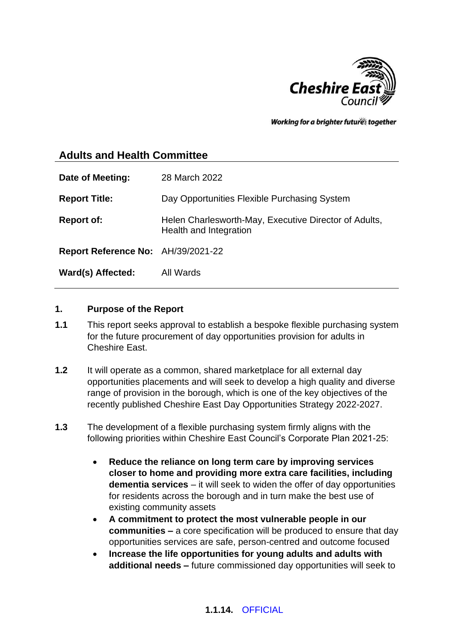

Working for a brighter futures together

# **Adults and Health Committee**

| Date of Meeting:                   | 28 March 2022                                                                   |
|------------------------------------|---------------------------------------------------------------------------------|
| <b>Report Title:</b>               | Day Opportunities Flexible Purchasing System                                    |
| <b>Report of:</b>                  | Helen Charlesworth-May, Executive Director of Adults,<br>Health and Integration |
| Report Reference No: AH/39/2021-22 |                                                                                 |
| Ward(s) Affected:                  | All Wards                                                                       |

#### **1. Purpose of the Report**

- **1.1** This report seeks approval to establish a bespoke flexible purchasing system for the future procurement of day opportunities provision for adults in Cheshire East.
- **1.2** It will operate as a common, shared marketplace for all external day opportunities placements and will seek to develop a high quality and diverse range of provision in the borough, which is one of the key objectives of the recently published Cheshire East Day Opportunities Strategy 2022-2027.
- **1.3** The development of a flexible purchasing system firmly aligns with the following priorities within Cheshire East Council's Corporate Plan 2021-25:
	- **Reduce the reliance on long term care by improving services closer to home and providing more extra care facilities, including dementia services** – it will seek to widen the offer of day opportunities for residents across the borough and in turn make the best use of existing community assets
	- **A commitment to protect the most vulnerable people in our communities –** a core specification will be produced to ensure that day opportunities services are safe, person-centred and outcome focused
	- **Increase the life opportunities for young adults and adults with additional needs –** future commissioned day opportunities will seek to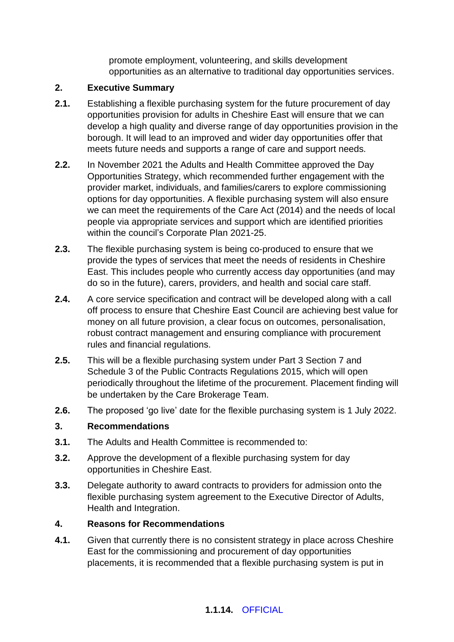promote employment, volunteering, and skills development opportunities as an alternative to traditional day opportunities services.

#### **2. Executive Summary**

- **2.1.** Establishing a flexible purchasing system for the future procurement of day opportunities provision for adults in Cheshire East will ensure that we can develop a high quality and diverse range of day opportunities provision in the borough. It will lead to an improved and wider day opportunities offer that meets future needs and supports a range of care and support needs.
- **2.2.** In November 2021 the Adults and Health Committee approved the Day Opportunities Strategy, which recommended further engagement with the provider market, individuals, and families/carers to explore commissioning options for day opportunities. A flexible purchasing system will also ensure we can meet the requirements of the Care Act (2014) and the needs of local people via appropriate services and support which are identified priorities within the council's Corporate Plan 2021-25.
- **2.3.** The flexible purchasing system is being co-produced to ensure that we provide the types of services that meet the needs of residents in Cheshire East. This includes people who currently access day opportunities (and may do so in the future), carers, providers, and health and social care staff.
- **2.4.** A core service specification and contract will be developed along with a call off process to ensure that Cheshire East Council are achieving best value for money on all future provision, a clear focus on outcomes, personalisation, robust contract management and ensuring compliance with procurement rules and financial regulations.
- **2.5.** This will be a flexible purchasing system under Part 3 Section 7 and Schedule 3 of the Public Contracts Regulations 2015, which will open periodically throughout the lifetime of the procurement. Placement finding will be undertaken by the Care Brokerage Team.
- **2.6.** The proposed 'go live' date for the flexible purchasing system is 1 July 2022.

## **3. Recommendations**

- **3.1.** The Adults and Health Committee is recommended to:
- **3.2.** Approve the development of a flexible purchasing system for day opportunities in Cheshire East.
- **3.3.** Delegate authority to award contracts to providers for admission onto the flexible purchasing system agreement to the Executive Director of Adults, Health and Integration.

#### **4. Reasons for Recommendations**

**4.1.** Given that currently there is no consistent strategy in place across Cheshire East for the commissioning and procurement of day opportunities placements, it is recommended that a flexible purchasing system is put in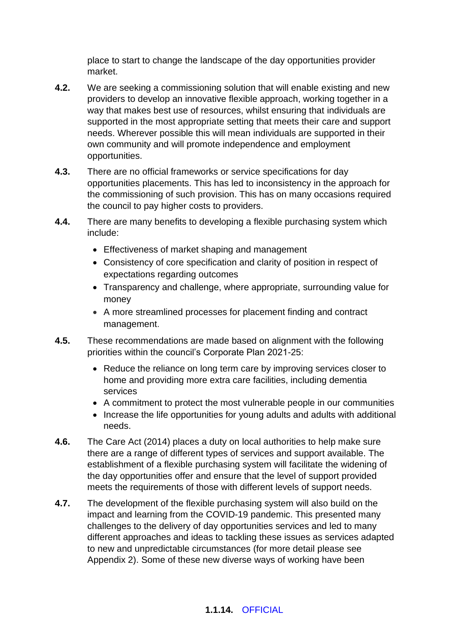place to start to change the landscape of the day opportunities provider market.

- **4.2.** We are seeking a commissioning solution that will enable existing and new providers to develop an innovative flexible approach, working together in a way that makes best use of resources, whilst ensuring that individuals are supported in the most appropriate setting that meets their care and support needs. Wherever possible this will mean individuals are supported in their own community and will promote independence and employment opportunities.
- **4.3.** There are no official frameworks or service specifications for day opportunities placements. This has led to inconsistency in the approach for the commissioning of such provision. This has on many occasions required the council to pay higher costs to providers.
- **4.4.** There are many benefits to developing a flexible purchasing system which include:
	- Effectiveness of market shaping and management
	- Consistency of core specification and clarity of position in respect of expectations regarding outcomes
	- Transparency and challenge, where appropriate, surrounding value for money
	- A more streamlined processes for placement finding and contract management.
- **4.5.** These recommendations are made based on alignment with the following priorities within the council's Corporate Plan 2021-25:
	- Reduce the reliance on long term care by improving services closer to home and providing more extra care facilities, including dementia services
	- A commitment to protect the most vulnerable people in our communities
	- Increase the life opportunities for young adults and adults with additional needs.
- **4.6.** The Care Act (2014) places a duty on local authorities to help make sure there are a range of different types of services and support available. The establishment of a flexible purchasing system will facilitate the widening of the day opportunities offer and ensure that the level of support provided meets the requirements of those with different levels of support needs.
- **4.7.** The development of the flexible purchasing system will also build on the impact and learning from the COVID-19 pandemic. This presented many challenges to the delivery of day opportunities services and led to many different approaches and ideas to tackling these issues as services adapted to new and unpredictable circumstances (for more detail please see Appendix 2). Some of these new diverse ways of working have been

## **1.1.14.** OFFICIAL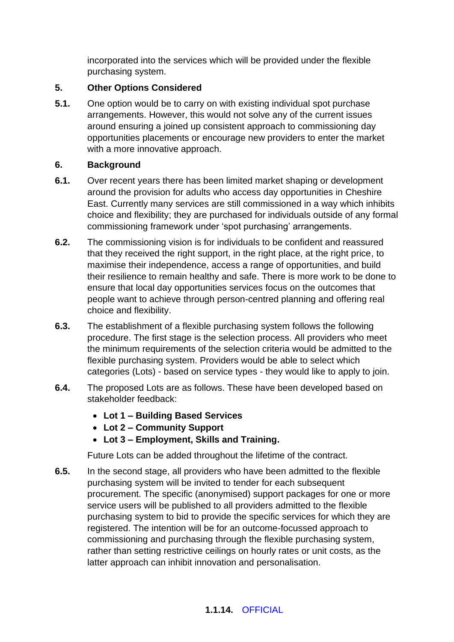incorporated into the services which will be provided under the flexible purchasing system.

# **5. Other Options Considered**

**5.1.** One option would be to carry on with existing individual spot purchase arrangements. However, this would not solve any of the current issues around ensuring a joined up consistent approach to commissioning day opportunities placements or encourage new providers to enter the market with a more innovative approach.

## **6. Background**

- **6.1.** Over recent years there has been limited market shaping or development around the provision for adults who access day opportunities in Cheshire East. Currently many services are still commissioned in a way which inhibits choice and flexibility; they are purchased for individuals outside of any formal commissioning framework under 'spot purchasing' arrangements.
- **6.2.** The commissioning vision is for individuals to be confident and reassured that they received the right support, in the right place, at the right price, to maximise their independence, access a range of opportunities, and build their resilience to remain healthy and safe. There is more work to be done to ensure that local day opportunities services focus on the outcomes that people want to achieve through person-centred planning and offering real choice and flexibility.
- **6.3.** The establishment of a flexible purchasing system follows the following procedure. The first stage is the selection process. All providers who meet the minimum requirements of the selection criteria would be admitted to the flexible purchasing system. Providers would be able to select which categories (Lots) - based on service types - they would like to apply to join.
- **6.4.** The proposed Lots are as follows. These have been developed based on stakeholder feedback:
	- **Lot 1 – Building Based Services**
	- **Lot 2 – Community Support**
	- **Lot 3 – Employment, Skills and Training.**

Future Lots can be added throughout the lifetime of the contract.

**6.5.** In the second stage, all providers who have been admitted to the flexible purchasing system will be invited to tender for each subsequent procurement. The specific (anonymised) support packages for one or more service users will be published to all providers admitted to the flexible purchasing system to bid to provide the specific services for which they are registered. The intention will be for an outcome-focussed approach to commissioning and purchasing through the flexible purchasing system, rather than setting restrictive ceilings on hourly rates or unit costs, as the latter approach can inhibit innovation and personalisation.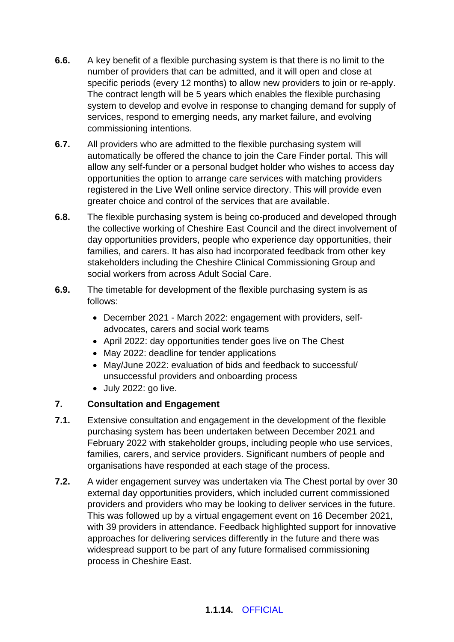- **6.6.** A key benefit of a flexible purchasing system is that there is no limit to the number of providers that can be admitted, and it will open and close at specific periods (every 12 months) to allow new providers to join or re-apply. The contract length will be 5 years which enables the flexible purchasing system to develop and evolve in response to changing demand for supply of services, respond to emerging needs, any market failure, and evolving commissioning intentions.
- **6.7.** All providers who are admitted to the flexible purchasing system will automatically be offered the chance to join the Care Finder portal. This will allow any self-funder or a personal budget holder who wishes to access day opportunities the option to arrange care services with matching providers registered in the Live Well online service directory. This will provide even greater choice and control of the services that are available.
- **6.8.** The flexible purchasing system is being co-produced and developed through the collective working of Cheshire East Council and the direct involvement of day opportunities providers, people who experience day opportunities, their families, and carers. It has also had incorporated feedback from other key stakeholders including the Cheshire Clinical Commissioning Group and social workers from across Adult Social Care.
- **6.9.** The timetable for development of the flexible purchasing system is as follows:
	- December 2021 March 2022: engagement with providers, selfadvocates, carers and social work teams
	- April 2022: day opportunities tender goes live on The Chest
	- May 2022: deadline for tender applications
	- May/June 2022: evaluation of bids and feedback to successful/ unsuccessful providers and onboarding process
	- July 2022: go live.

# **7. Consultation and Engagement**

- **7.1.** Extensive consultation and engagement in the development of the flexible purchasing system has been undertaken between December 2021 and February 2022 with stakeholder groups, including people who use services, families, carers, and service providers. Significant numbers of people and organisations have responded at each stage of the process.
- **7.2.** A wider engagement survey was undertaken via The Chest portal by over 30 external day opportunities providers, which included current commissioned providers and providers who may be looking to deliver services in the future. This was followed up by a virtual engagement event on 16 December 2021, with 39 providers in attendance. Feedback highlighted support for innovative approaches for delivering services differently in the future and there was widespread support to be part of any future formalised commissioning process in Cheshire East.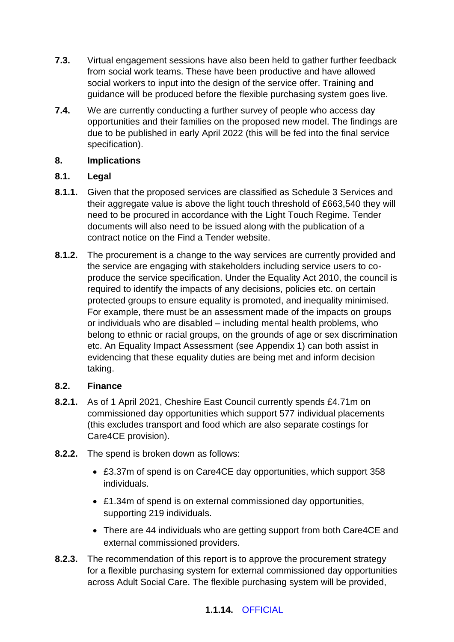- **7.3.** Virtual engagement sessions have also been held to gather further feedback from social work teams. These have been productive and have allowed social workers to input into the design of the service offer. Training and guidance will be produced before the flexible purchasing system goes live.
- **7.4.** We are currently conducting a further survey of people who access day opportunities and their families on the proposed new model. The findings are due to be published in early April 2022 (this will be fed into the final service specification).

#### **8. Implications**

## **8.1. Legal**

- **8.1.1.** Given that the proposed services are classified as Schedule 3 Services and their aggregate value is above the light touch threshold of £663,540 they will need to be procured in accordance with the Light Touch Regime. Tender documents will also need to be issued along with the publication of a contract notice on the Find a Tender website.
- **8.1.2.** The procurement is a change to the way services are currently provided and the service are engaging with stakeholders including service users to coproduce the service specification. Under the Equality Act 2010, the council is required to identify the impacts of any decisions, policies etc. on certain protected groups to ensure equality is promoted, and inequality minimised. For example, there must be an assessment made of the impacts on groups or individuals who are disabled – including mental health problems, who belong to ethnic or racial groups, on the grounds of age or sex discrimination etc. An Equality Impact Assessment (see Appendix 1) can both assist in evidencing that these equality duties are being met and inform decision taking.

## **8.2. Finance**

- **8.2.1.** As of 1 April 2021, Cheshire East Council currently spends £4.71m on commissioned day opportunities which support 577 individual placements (this excludes transport and food which are also separate costings for Care4CE provision).
- **8.2.2.** The spend is broken down as follows:
	- £3.37m of spend is on Care4CE day opportunities, which support 358 individuals.
	- £1.34m of spend is on external commissioned day opportunities, supporting 219 individuals.
	- There are 44 individuals who are getting support from both Care4CE and external commissioned providers.
- **8.2.3.** The recommendation of this report is to approve the procurement strategy for a flexible purchasing system for external commissioned day opportunities across Adult Social Care. The flexible purchasing system will be provided,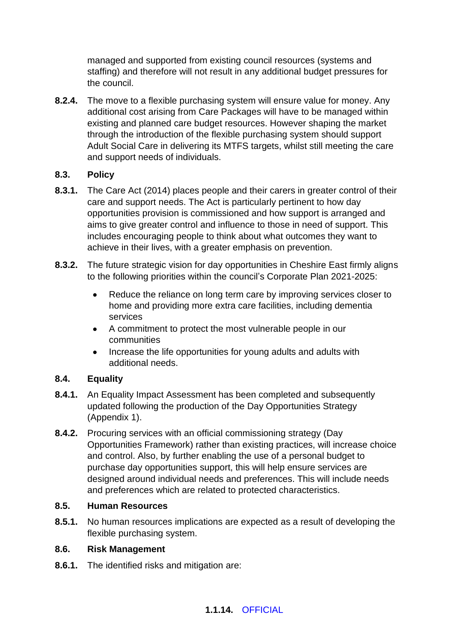managed and supported from existing council resources (systems and staffing) and therefore will not result in any additional budget pressures for the council.

**8.2.4.** The move to a flexible purchasing system will ensure value for money. Any additional cost arising from Care Packages will have to be managed within existing and planned care budget resources. However shaping the market through the introduction of the flexible purchasing system should support Adult Social Care in delivering its MTFS targets, whilst still meeting the care and support needs of individuals.

## **8.3. Policy**

- **8.3.1.** The Care Act (2014) places people and their carers in greater control of their care and support needs. The Act is particularly pertinent to how day opportunities provision is commissioned and how support is arranged and aims to give greater control and influence to those in need of support. This includes encouraging people to think about what outcomes they want to achieve in their lives, with a greater emphasis on prevention.
- **8.3.2.** The future strategic vision for day opportunities in Cheshire East firmly aligns to the following priorities within the council's Corporate Plan 2021-2025:
	- Reduce the reliance on long term care by improving services closer to home and providing more extra care facilities, including dementia services
	- A commitment to protect the most vulnerable people in our communities
	- Increase the life opportunities for young adults and adults with additional needs.

## **8.4. Equality**

- **8.4.1.** An Equality Impact Assessment has been completed and subsequently updated following the production of the Day Opportunities Strategy (Appendix 1).
- **8.4.2.** Procuring services with an official commissioning strategy (Day Opportunities Framework) rather than existing practices, will increase choice and control. Also, by further enabling the use of a personal budget to purchase day opportunities support, this will help ensure services are designed around individual needs and preferences. This will include needs and preferences which are related to protected characteristics.

## **8.5. Human Resources**

**8.5.1.** No human resources implications are expected as a result of developing the flexible purchasing system.

## **8.6. Risk Management**

**8.6.1.** The identified risks and mitigation are: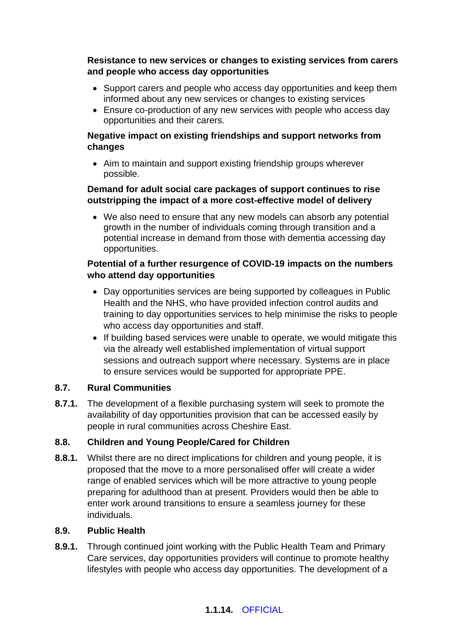**Resistance to new services or changes to existing services from carers and people who access day opportunities**

- Support carers and people who access day opportunities and keep them informed about any new services or changes to existing services
- Ensure co-production of any new services with people who access day opportunities and their carers.

## **Negative impact on existing friendships and support networks from changes**

• Aim to maintain and support existing friendship groups wherever possible.

#### **Demand for adult social care packages of support continues to rise outstripping the impact of a more cost-effective model of delivery**

• We also need to ensure that any new models can absorb any potential growth in the number of individuals coming through transition and a potential increase in demand from those with dementia accessing day opportunities.

## **Potential of a further resurgence of COVID-19 impacts on the numbers who attend day opportunities**

- Day opportunities services are being supported by colleagues in Public Health and the NHS, who have provided infection control audits and training to day opportunities services to help minimise the risks to people who access day opportunities and staff.
- If building based services were unable to operate, we would mitigate this via the already well established implementation of virtual support sessions and outreach support where necessary. Systems are in place to ensure services would be supported for appropriate PPE.

## **8.7. Rural Communities**

**8.7.1.** The development of a flexible purchasing system will seek to promote the availability of day opportunities provision that can be accessed easily by people in rural communities across Cheshire East.

# **8.8. Children and Young People/Cared for Children**

**8.8.1.** Whilst there are no direct implications for children and young people, it is proposed that the move to a more personalised offer will create a wider range of enabled services which will be more attractive to young people preparing for adulthood than at present. Providers would then be able to enter work around transitions to ensure a seamless journey for these individuals.

## **8.9. Public Health**

**8.9.1.** Through continued joint working with the Public Health Team and Primary Care services, day opportunities providers will continue to promote healthy lifestyles with people who access day opportunities. The development of a